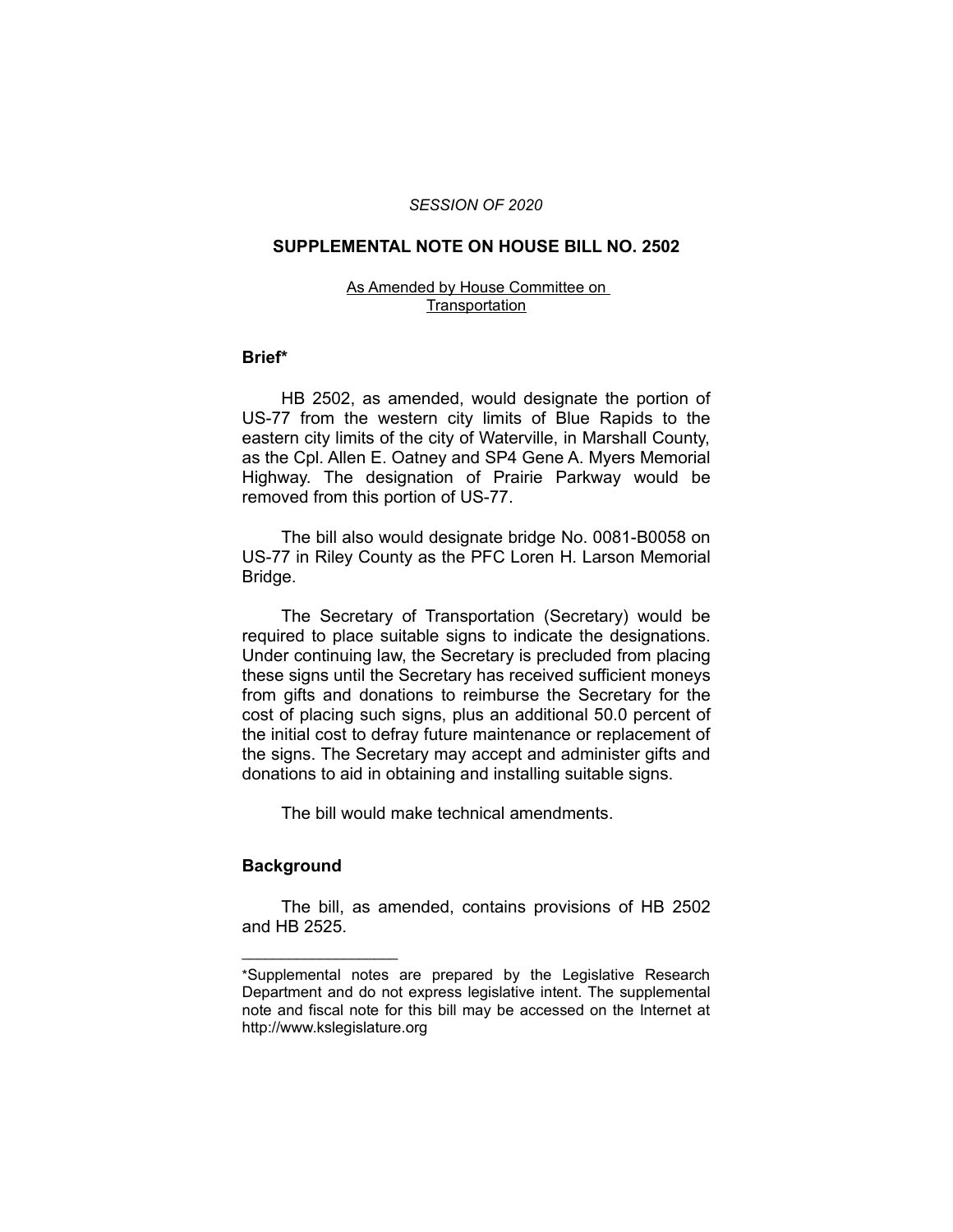### *SESSION OF 2020*

### **SUPPLEMENTAL NOTE ON HOUSE BILL NO. 2502**

#### As Amended by House Committee on **Transportation**

### **Brief\***

HB 2502, as amended, would designate the portion of US-77 from the western city limits of Blue Rapids to the eastern city limits of the city of Waterville, in Marshall County, as the Cpl. Allen E. Oatney and SP4 Gene A. Myers Memorial Highway. The designation of Prairie Parkway would be removed from this portion of US-77.

The bill also would designate bridge No. 0081-B0058 on US-77 in Riley County as the PFC Loren H. Larson Memorial Bridge.

The Secretary of Transportation (Secretary) would be required to place suitable signs to indicate the designations. Under continuing law, the Secretary is precluded from placing these signs until the Secretary has received sufficient moneys from gifts and donations to reimburse the Secretary for the cost of placing such signs, plus an additional 50.0 percent of the initial cost to defray future maintenance or replacement of the signs. The Secretary may accept and administer gifts and donations to aid in obtaining and installing suitable signs.

The bill would make technical amendments.

## **Background**

 $\overline{\phantom{a}}$  , where  $\overline{\phantom{a}}$  , where  $\overline{\phantom{a}}$ 

The bill, as amended, contains provisions of HB 2502 and HB 2525.

<sup>\*</sup>Supplemental notes are prepared by the Legislative Research Department and do not express legislative intent. The supplemental note and fiscal note for this bill may be accessed on the Internet at http://www.kslegislature.org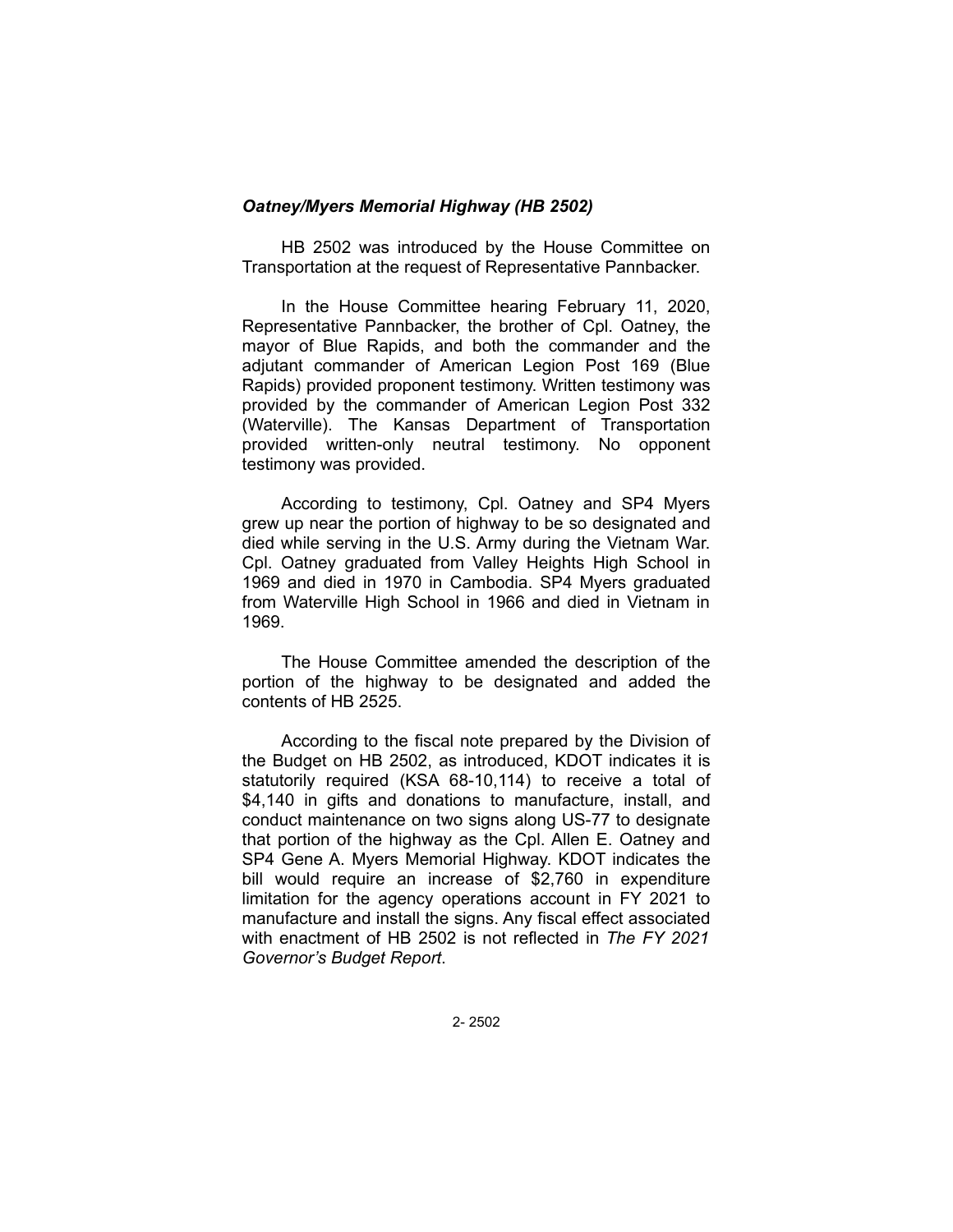# *Oatney/Myers Memorial Highway (HB 2502)*

HB 2502 was introduced by the House Committee on Transportation at the request of Representative Pannbacker.

In the House Committee hearing February 11, 2020, Representative Pannbacker, the brother of Cpl. Oatney, the mayor of Blue Rapids, and both the commander and the adjutant commander of American Legion Post 169 (Blue Rapids) provided proponent testimony. Written testimony was provided by the commander of American Legion Post 332 (Waterville). The Kansas Department of Transportation provided written-only neutral testimony. No opponent testimony was provided.

According to testimony, Cpl. Oatney and SP4 Myers grew up near the portion of highway to be so designated and died while serving in the U.S. Army during the Vietnam War. Cpl. Oatney graduated from Valley Heights High School in 1969 and died in 1970 in Cambodia. SP4 Myers graduated from Waterville High School in 1966 and died in Vietnam in 1969.

The House Committee amended the description of the portion of the highway to be designated and added the contents of HB 2525.

According to the fiscal note prepared by the Division of the Budget on HB 2502, as introduced, KDOT indicates it is statutorily required (KSA 68-10,114) to receive a total of \$4,140 in gifts and donations to manufacture, install, and conduct maintenance on two signs along US-77 to designate that portion of the highway as the Cpl. Allen E. Oatney and SP4 Gene A. Myers Memorial Highway. KDOT indicates the bill would require an increase of \$2,760 in expenditure limitation for the agency operations account in FY 2021 to manufacture and install the signs. Any fiscal effect associated with enactment of HB 2502 is not reflected in *The FY 2021 Governor's Budget Report*.